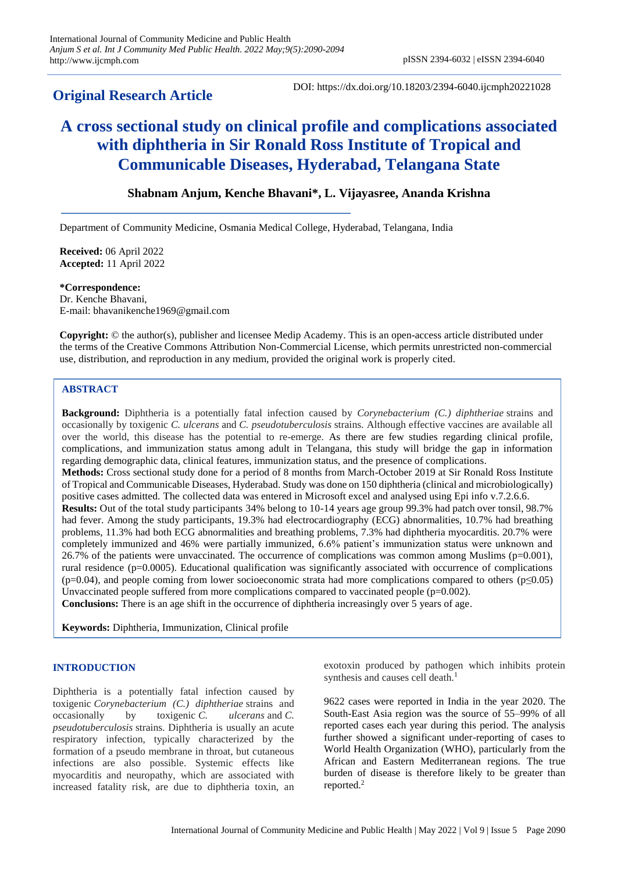# **Original Research Article**

DOI: https://dx.doi.org/10.18203/2394-6040.ijcmph20221028

# **A cross sectional study on clinical profile and complications associated with diphtheria in Sir Ronald Ross Institute of Tropical and Communicable Diseases, Hyderabad, Telangana State**

# **Shabnam Anjum, Kenche Bhavani\*, L. Vijayasree, Ananda Krishna**

Department of Community Medicine, Osmania Medical College, Hyderabad, Telangana, India

**Received:** 06 April 2022 **Accepted:** 11 April 2022

**\*Correspondence:** Dr. Kenche Bhavani, E-mail: bhavanikenche1969@gmail.com

**Copyright:** © the author(s), publisher and licensee Medip Academy. This is an open-access article distributed under the terms of the Creative Commons Attribution Non-Commercial License, which permits unrestricted non-commercial use, distribution, and reproduction in any medium, provided the original work is properly cited.

## **ABSTRACT**

**Background:** Diphtheria is a potentially fatal infection caused by *Corynebacterium (C.) diphtheriae* strains and occasionally by toxigenic *C. ulcerans* and *C. pseudotuberculosis* strains. Although effective vaccines are available all over the world, this disease has the potential to re-emerge. As there are few studies regarding clinical profile, complications, and immunization status among adult in Telangana, this study will bridge the gap in information regarding demographic data, clinical features, immunization status, and the presence of complications. **Methods:** Cross sectional study done for a period of 8 months from March-October 2019 at Sir Ronald Ross Institute of Tropical and Communicable Diseases, Hyderabad. Study was done on 150 diphtheria (clinical and microbiologically) positive cases admitted. The collected data was entered in Microsoft excel and analysed using Epi info v.7.2.6.6. **Results:** Out of the total study participants 34% belong to 10-14 years age group 99.3% had patch over tonsil, 98.7% had fever. Among the study participants, 19.3% had electrocardiography (ECG) abnormalities, 10.7% had breathing problems, 11.3% had both ECG abnormalities and breathing problems, 7.3% had diphtheria myocarditis. 20.7% were completely immunized and 46% were partially immunized, 6.6% patient's immunization status were unknown and 26.7% of the patients were unvaccinated. The occurrence of complications was common among Muslims (p=0.001), rural residence (p=0.0005). Educational qualification was significantly associated with occurrence of complications  $(p=0.04)$ , and people coming from lower socioeconomic strata had more complications compared to others ( $p\leq 0.05$ ) Unvaccinated people suffered from more complications compared to vaccinated people  $(p=0.002)$ . **Conclusions:** There is an age shift in the occurrence of diphtheria increasingly over 5 years of age.

**Keywords:** Diphtheria, Immunization, Clinical profile

#### **INTRODUCTION**

Diphtheria is a potentially fatal infection caused by toxigenic *Corynebacterium (C.) diphtheriae* strains and occasionally by toxigenic *C. ulcerans* and *C. pseudotuberculosis* strains. Diphtheria is usually an acute respiratory infection, typically characterized by the formation of a pseudo membrane in throat, but cutaneous infections are also possible. Systemic effects like myocarditis and neuropathy, which are associated with increased fatality risk, are due to diphtheria toxin, an exotoxin produced by pathogen which inhibits protein synthesis and causes cell death.<sup>1</sup>

9622 cases were reported in India in the year 2020. The South-East Asia region was the source of 55–99% of all reported cases each year during this period. The analysis further showed a significant under-reporting of cases to World Health Organization (WHO), particularly from the African and Eastern Mediterranean regions. The true burden of disease is therefore likely to be greater than reported.<sup>2</sup>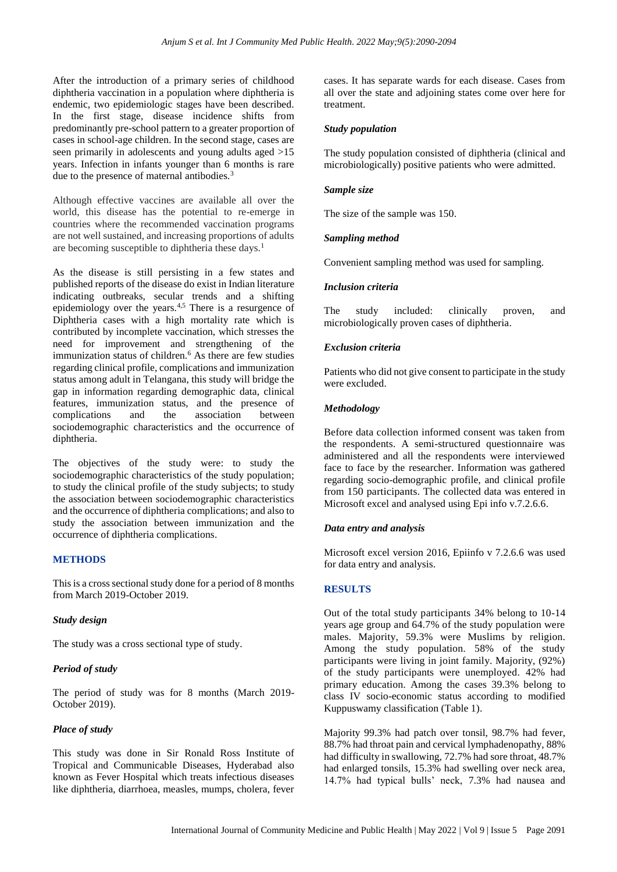After the introduction of a primary series of childhood diphtheria vaccination in a population where diphtheria is endemic, two epidemiologic stages have been described. In the first stage, disease incidence shifts from predominantly pre-school pattern to a greater proportion of cases in school-age children. In the second stage, cases are seen primarily in adolescents and young adults aged >15 years. Infection in infants younger than 6 months is rare due to the presence of maternal antibodies.<sup>3</sup>

Although effective vaccines are available all over the world, this disease has the potential to re-emerge in countries where the recommended vaccination programs are not well sustained, and increasing proportions of adults are becoming susceptible to diphtheria these days.<sup>1</sup>

As the disease is still persisting in a few states and published reports of the disease do exist in Indian literature indicating outbreaks, secular trends and a shifting epidemiology over the years.<sup>4,5</sup> There is a resurgence of Diphtheria cases with a high mortality rate which is contributed by incomplete vaccination, which stresses the need for improvement and strengthening of the immunization status of children.<sup>6</sup> As there are few studies regarding clinical profile, complications and immunization status among adult in Telangana, this study will bridge the gap in information regarding demographic data, clinical features, immunization status, and the presence of complications and the association between sociodemographic characteristics and the occurrence of diphtheria.

The objectives of the study were: to study the sociodemographic characteristics of the study population; to study the clinical profile of the study subjects; to study the association between sociodemographic characteristics and the occurrence of diphtheria complications; and also to study the association between immunization and the occurrence of diphtheria complications.

#### **METHODS**

This is a cross sectional study done for a period of 8 months from March 2019-October 2019.

#### *Study design*

The study was a cross sectional type of study.

#### *Period of study*

The period of study was for 8 months (March 2019- October 2019).

#### *Place of study*

This study was done in Sir Ronald Ross Institute of Tropical and Communicable Diseases, Hyderabad also known as Fever Hospital which treats infectious diseases like diphtheria, diarrhoea, measles, mumps, cholera, fever cases. It has separate wards for each disease. Cases from all over the state and adjoining states come over here for treatment.

#### *Study population*

The study population consisted of diphtheria (clinical and microbiologically) positive patients who were admitted.

#### *Sample size*

The size of the sample was 150.

#### *Sampling method*

Convenient sampling method was used for sampling.

#### *Inclusion criteria*

The study included: clinically proven, and microbiologically proven cases of diphtheria.

#### *Exclusion criteria*

Patients who did not give consent to participate in the study were excluded.

#### *Methodology*

Before data collection informed consent was taken from the respondents. A semi-structured questionnaire was administered and all the respondents were interviewed face to face by the researcher. Information was gathered regarding socio-demographic profile, and clinical profile from 150 participants. The collected data was entered in Microsoft excel and analysed using Epi info v.7.2.6.6.

#### *Data entry and analysis*

Microsoft excel version 2016, Epiinfo v 7.2.6.6 was used for data entry and analysis.

#### **RESULTS**

Out of the total study participants 34% belong to 10-14 years age group and 64.7% of the study population were males. Majority, 59.3% were Muslims by religion. Among the study population. 58% of the study participants were living in joint family. Majority, (92%) of the study participants were unemployed. 42% had primary education. Among the cases 39.3% belong to class IV socio-economic status according to modified Kuppuswamy classification (Table 1).

Majority 99.3% had patch over tonsil, 98.7% had fever, 88.7% had throat pain and cervical lymphadenopathy, 88% had difficulty in swallowing, 72.7% had sore throat, 48.7% had enlarged tonsils, 15.3% had swelling over neck area, 14.7% had typical bulls' neck, 7.3% had nausea and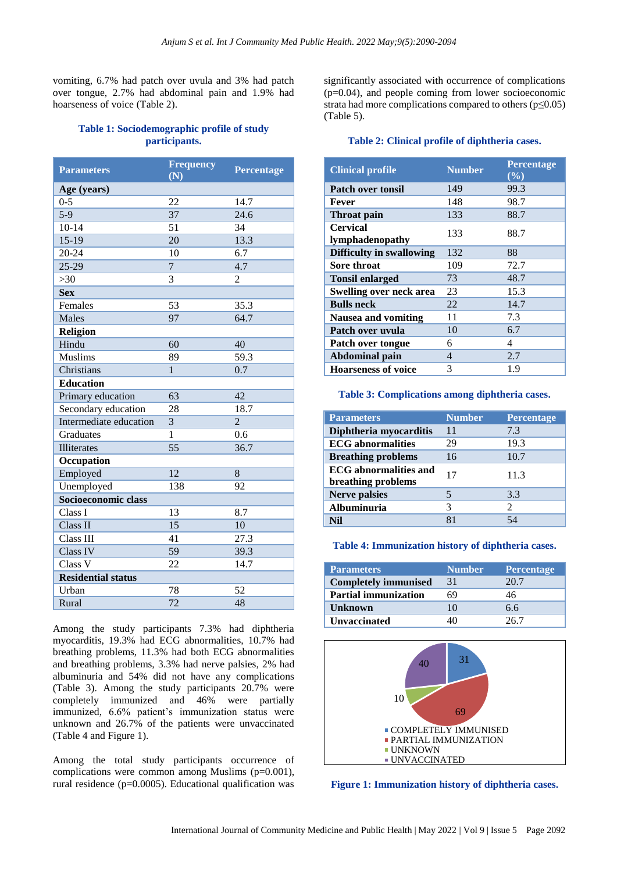vomiting, 6.7% had patch over uvula and 3% had patch over tongue, 2.7% had abdominal pain and 1.9% had hoarseness of voice (Table 2).

## **Table 1: Sociodemographic profile of study participants.**

| <b>Parameters</b>         | <b>Frequency</b><br>$\overline{(\overline{\rm N})}$ | <b>Percentage</b> |
|---------------------------|-----------------------------------------------------|-------------------|
| Age (years)               |                                                     |                   |
| $0 - 5$                   | 22                                                  | 14.7              |
| $5-9$                     | 37                                                  | 24.6              |
| $10 - 14$                 | 51                                                  | 34                |
| $15-19$                   | 20                                                  | 13.3              |
| $20 - 24$                 | 10                                                  | 6.7               |
| $25-29$                   | $\overline{7}$                                      | 4.7               |
| >30                       | 3                                                   | 2                 |
| <b>Sex</b>                |                                                     |                   |
| Females                   | 53                                                  | 35.3              |
| Males                     | 97                                                  | 64.7              |
| Religion                  |                                                     |                   |
| Hindu                     | 60                                                  | 40                |
| <b>Muslims</b>            | 89                                                  | $59.\overline{3}$ |
| Christians                | 1                                                   | 0.7               |
| <b>Education</b>          |                                                     |                   |
| Primary education         | 63                                                  | 42                |
| Secondary education       | 28                                                  | 18.7              |
| Intermediate education    | 3                                                   | $\overline{2}$    |
| Graduates                 | 1                                                   | 0.6               |
| Illiterates               | $\overline{55}$                                     | 36.7              |
| Occupation                |                                                     |                   |
| Employed                  | 12                                                  | 8                 |
| Unemployed                | 138                                                 | 92                |
| Socioeconomic class       |                                                     |                   |
| Class I                   | 13                                                  | 8.7               |
| Class <sub>II</sub>       | 15                                                  | 10                |
| Class III                 | 41                                                  | 27.3              |
| Class IV                  | $\overline{59}$                                     | 39.3              |
| Class V                   | 22                                                  | 14.7              |
| <b>Residential status</b> |                                                     |                   |
| Urban                     | 78                                                  | 52                |
| Rural                     | 72                                                  | 48                |

Among the study participants 7.3% had diphtheria myocarditis, 19.3% had ECG abnormalities, 10.7% had breathing problems, 11.3% had both ECG abnormalities and breathing problems, 3.3% had nerve palsies, 2% had albuminuria and 54% did not have any complications (Table 3). Among the study participants 20.7% were completely immunized and 46% were partially immunized, 6.6% patient's immunization status were unknown and 26.7% of the patients were unvaccinated (Table 4 and Figure 1).

Among the total study participants occurrence of complications were common among Muslims (p=0.001), rural residence (p=0.0005). Educational qualification was

significantly associated with occurrence of complications (p=0.04), and people coming from lower socioeconomic strata had more complications compared to others ( $p \leq 0.05$ ) (Table 5).

#### **Table 2: Clinical profile of diphtheria cases.**

| <b>Clinical profile</b>            | <b>Number</b> | Percentage<br>$(\%)$ |
|------------------------------------|---------------|----------------------|
| <b>Patch over tonsil</b>           | 149           | 99.3                 |
| Fever                              | 148           | 98.7                 |
| Throat pain                        | 133           | 88.7                 |
| <b>Cervical</b><br>lymphadenopathy | 133           | 88.7                 |
| <b>Difficulty in swallowing</b>    | 132           | 88                   |
| Sore throat                        | 109           | 72.7                 |
| <b>Tonsil enlarged</b>             | 73            | 48.7                 |
| <b>Swelling over neck area</b>     | 23            | 15.3                 |
| <b>Bulls</b> neck                  | 22            | 14.7                 |
| <b>Nausea and vomiting</b>         | 11            | 7.3                  |
| Patch over uvula                   | 10            | 6.7                  |
| Patch over tongue                  | 6             | 4                    |
| <b>Abdominal pain</b>              | 4             | 2.7                  |
| <b>Hoarseness of voice</b>         | 3             | 1.9                  |

#### **Table 3: Complications among diphtheria cases.**

| <b>Parameters</b>                                  | <b>Number</b> | <b>Percentage</b>           |
|----------------------------------------------------|---------------|-----------------------------|
| Diphtheria myocarditis                             | 11            | 7.3                         |
| <b>ECG</b> abnormalities                           | 29            | 19.3                        |
| <b>Breathing problems</b>                          | 16            | 10.7                        |
| <b>ECG</b> abnormalities and<br>breathing problems | 17            | 11.3                        |
| <b>Nerve palsies</b>                               | 5             | 3.3                         |
| Albuminuria                                        | 3             | $\mathcal{D}_{\mathcal{L}}$ |
| NH                                                 | 81            | 54                          |

#### **Table 4: Immunization history of diphtheria cases.**

| <b>Parameters</b>           | <b>Number</b> | <b>Percentage</b> |
|-----------------------------|---------------|-------------------|
| <b>Completely immunised</b> | 31            | 20.7              |
| <b>Partial immunization</b> | 69            | 46                |
| <b>Unknown</b>              | 10            | 6.6               |
| <b>Unvaccinated</b>         |               | 26.7              |



**Figure 1: Immunization history of diphtheria cases.**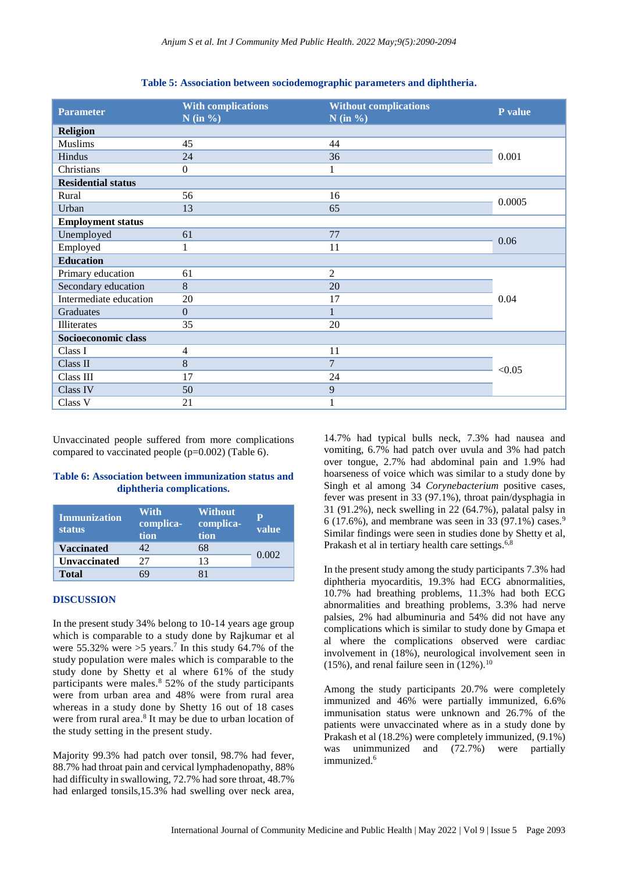| <b>Parameter</b>          | <b>With complications</b><br>$N$ (in %) | <b>Without complications</b><br>$N$ (in %) | P value |
|---------------------------|-----------------------------------------|--------------------------------------------|---------|
| <b>Religion</b>           |                                         |                                            |         |
| <b>Muslims</b>            | 45                                      | 44                                         |         |
| Hindus                    | 24                                      | 36                                         | 0.001   |
| Christians                | $\overline{0}$                          | 1                                          |         |
| <b>Residential status</b> |                                         |                                            |         |
| Rural                     | 56                                      | 16                                         | 0.0005  |
| Urban                     | 13                                      | 65                                         |         |
| <b>Employment status</b>  |                                         |                                            |         |
| Unemployed                | 61                                      | 77                                         | 0.06    |
| Employed                  |                                         | 11                                         |         |
| <b>Education</b>          |                                         |                                            |         |
| Primary education         | 61                                      | $\mathfrak{2}$                             |         |
| Secondary education       | 8                                       | 20                                         |         |
| Intermediate education    | 20                                      | 17                                         | 0.04    |
| Graduates                 | $\Omega$                                | 1                                          |         |
| Illiterates               | 35                                      | 20                                         |         |
| Socioeconomic class       |                                         |                                            |         |
| Class I                   | 4                                       | 11                                         |         |
| Class II                  | 8                                       | $\overline{7}$                             |         |
| Class III                 | 17                                      | 24                                         | < 0.05  |
| Class IV                  | 50                                      | 9                                          |         |
| Class V                   | 21                                      | $\mathbf{1}$                               |         |

**Table 5: Association between sociodemographic parameters and diphtheria.**

Unvaccinated people suffered from more complications compared to vaccinated people (p=0.002) (Table 6).

#### **Table 6: Association between immunization status and diphtheria complications.**

| <b>Immunization</b><br><b>status</b> | With<br>complica-<br>tion | <b>Without</b><br>complica-<br>tion | p<br>value |
|--------------------------------------|---------------------------|-------------------------------------|------------|
| <b>Vaccinated</b>                    | 42                        | 68                                  |            |
| <b>Unvaccinated</b>                  | 27                        | 13                                  | 0.002      |
| Total                                |                           |                                     |            |

#### **DISCUSSION**

In the present study 34% belong to 10-14 years age group which is comparable to a study done by Rajkumar et al were  $55.32\%$  were  $>5$  years.<sup>7</sup> In this study 64.7% of the study population were males which is comparable to the study done by Shetty et al where 61% of the study participants were males. $8\frac{52}{%}$  of the study participants were from urban area and 48% were from rural area whereas in a study done by Shetty 16 out of 18 cases were from rural area. 8 It may be due to urban location of the study setting in the present study.

Majority 99.3% had patch over tonsil, 98.7% had fever, 88.7% had throat pain and cervical lymphadenopathy, 88% had difficulty in swallowing, 72.7% had sore throat, 48.7% had enlarged tonsils,15.3% had swelling over neck area,

14.7% had typical bulls neck, 7.3% had nausea and vomiting, 6.7% had patch over uvula and 3% had patch over tongue, 2.7% had abdominal pain and 1.9% had hoarseness of voice which was similar to a study done by Singh et al among 34 *Corynebacterium* positive cases, fever was present in 33 (97.1%), throat pain/dysphagia in 31 (91.2%), neck swelling in 22 (64.7%), palatal palsy in 6 (17.6%), and membrane was seen in 33 (97.1%) cases.<sup>9</sup> Similar findings were seen in studies done by Shetty et al, Prakash et al in tertiary health care settings.<sup>6,8</sup>

In the present study among the study participants 7.3% had diphtheria myocarditis, 19.3% had ECG abnormalities, 10.7% had breathing problems, 11.3% had both ECG abnormalities and breathing problems, 3.3% had nerve palsies, 2% had albuminuria and 54% did not have any complications which is similar to study done by Gmapa et al where the complications observed were cardiac involvement in (18%), neurological involvement seen in  $(15\%)$ , and renal failure seen in  $(12\%)$ .<sup>10</sup>

Among the study participants 20.7% were completely immunized and 46% were partially immunized, 6.6% immunisation status were unknown and 26.7% of the patients were unvaccinated where as in a study done by Prakash et al (18.2%) were completely immunized, (9.1%) was unimmunized and (72.7%) were partially immunized.<sup>6</sup>